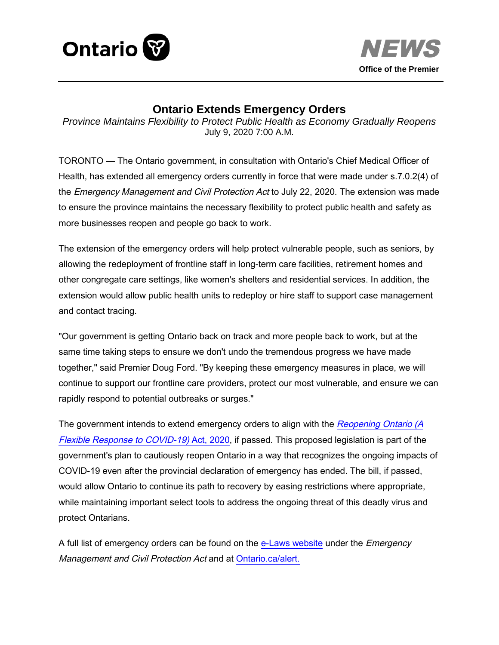



## **Ontario Extends Emergency Orders**

*Province Maintains Flexibility to Protect Public Health as Economy Gradually Reopens*  July 9, 2020 7:00 A.M.

TORONTO — The Ontario government, in consultation with Ontario's Chief Medical Officer of Health, has extended all emergency orders currently in force that were made under s.7.0.2(4) of the *Emergency Management and Civil Protection Act* to July 22, 2020. The extension was made to ensure the province maintains the necessary flexibility to protect public health and safety as more businesses reopen and people go back to work.

The extension of the emergency orders will help protect vulnerable people, such as seniors, by allowing the redeployment of frontline staff in long-term care facilities, retirement homes and other congregate care settings, like women's shelters and residential services. In addition, the extension would allow public health units to redeploy or hire staff to support case management and contact tracing.

"Our government is getting Ontario back on track and more people back to work, but at the same time taking steps to ensure we don't undo the tremendous progress we have made together," said Premier Doug Ford. "By keeping these emergency measures in place, we will continue to support our frontline care providers, protect our most vulnerable, and ensure we can rapidly respond to potential outbreaks or surges."

The government intends to extend emergency orders to align with the Reopening Ontario (A [Flexible Response to COVID-19\)](https://news.ontario.ca/opo/en/2020/07/ontario-introduces-legislation-to-protect-public-health-as-economy-reopens.html) Act, 2020, if passed. This proposed legislation is part of the government's plan to cautiously reopen Ontario in a way that recognizes the ongoing impacts of COVID-19 even after the provincial declaration of emergency has ended. The bill, if passed, would allow Ontario to continue its path to recovery by easing restrictions where appropriate, while maintaining important select tools to address the ongoing threat of this deadly virus and protect Ontarians.

A full list of emergency orders can be found on the [e-Laws website](https://www.ontario.ca/laws) under the *Emergency* Management and Civil Protection Act and at [Ontario.ca/alert.](https://www.ontario.ca/page/emergency-information)